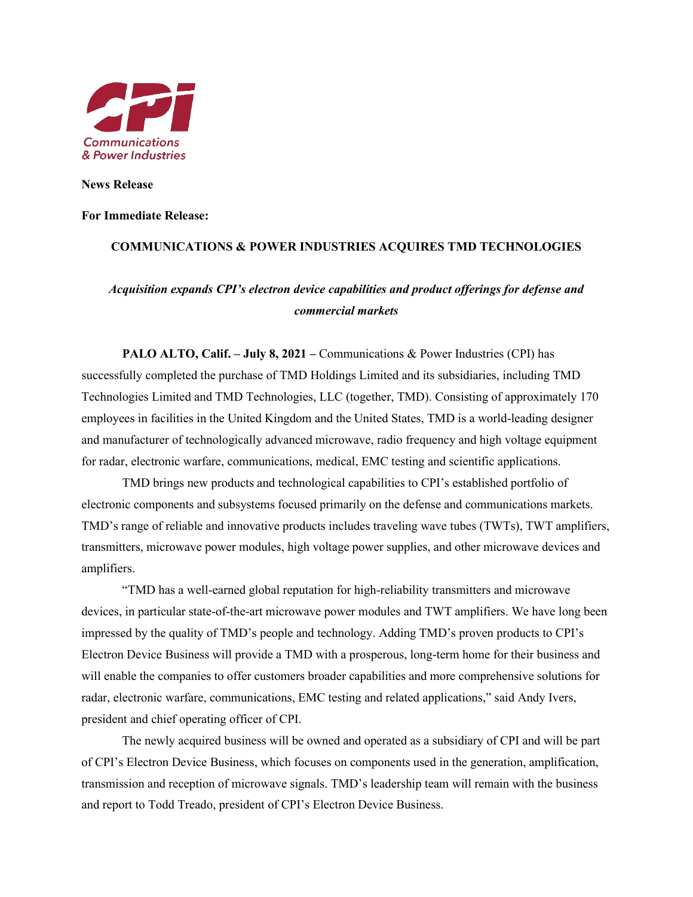

**News Release**

### **For Immediate Release:**

## **COMMUNICATIONS & POWER INDUSTRIES ACQUIRES TMD TECHNOLOGIES**

# *Acquisition expands CPI's electron device capabilities and product offerings for defense and commercial markets*

**PALO ALTO, Calif. – July 8, 2021 –** Communications & Power Industries (CPI) has successfully completed the purchase of TMD Holdings Limited and its subsidiaries, including TMD Technologies Limited and TMD Technologies, LLC (together, TMD). Consisting of approximately 170 employees in facilities in the United Kingdom and the United States, TMD is a world-leading designer and manufacturer of technologically advanced microwave, radio frequency and high voltage equipment for radar, electronic warfare, communications, medical, EMC testing and scientific applications.

TMD brings new products and technological capabilities to CPI's established portfolio of electronic components and subsystems focused primarily on the defense and communications markets. TMD's range of reliable and innovative products includes traveling wave tubes (TWTs), TWT amplifiers, transmitters, microwave power modules, high voltage power supplies, and other microwave devices and amplifiers.

"TMD has a well-earned global reputation for high-reliability transmitters and microwave devices, in particular state-of-the-art microwave power modules and TWT amplifiers. We have long been impressed by the quality of TMD's people and technology. Adding TMD's proven products to CPI's Electron Device Business will provide a TMD with a prosperous, long-term home for their business and will enable the companies to offer customers broader capabilities and more comprehensive solutions for radar, electronic warfare, communications, EMC testing and related applications," said Andy Ivers, president and chief operating officer of CPI.

The newly acquired business will be owned and operated as a subsidiary of CPI and will be part of CPI's Electron Device Business, which focuses on components used in the generation, amplification, transmission and reception of microwave signals. TMD's leadership team will remain with the business and report to Todd Treado, president of CPI's Electron Device Business.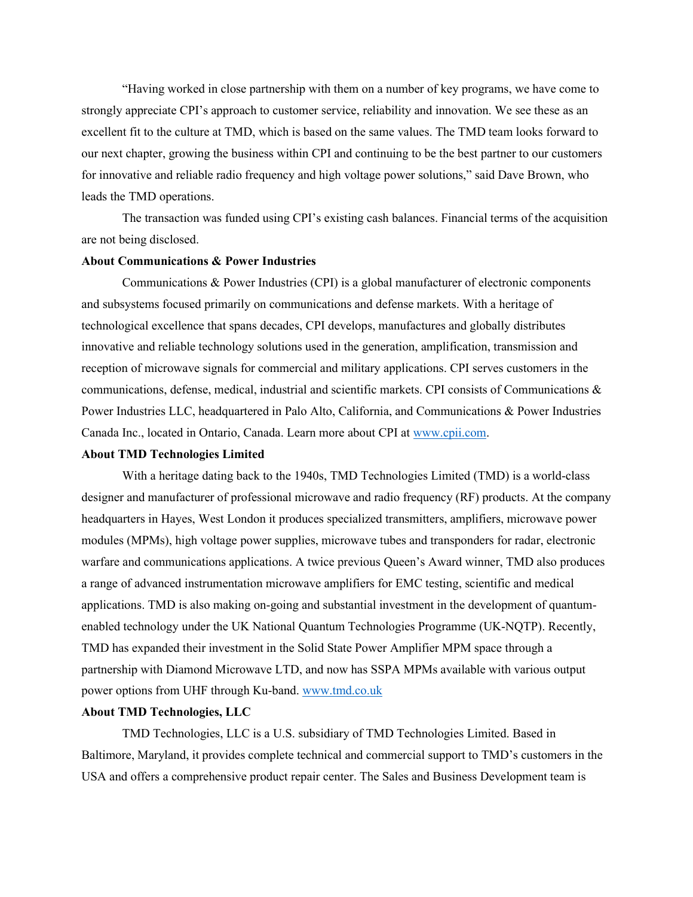"Having worked in close partnership with them on a number of key programs, we have come to strongly appreciate CPI's approach to customer service, reliability and innovation. We see these as an excellent fit to the culture at TMD, which is based on the same values. The TMD team looks forward to our next chapter, growing the business within CPI and continuing to be the best partner to our customers for innovative and reliable radio frequency and high voltage power solutions," said Dave Brown, who leads the TMD operations.

The transaction was funded using CPI's existing cash balances. Financial terms of the acquisition are not being disclosed.

## **About Communications & Power Industries**

Communications & Power Industries (CPI) is a global manufacturer of electronic components and subsystems focused primarily on communications and defense markets. With a heritage of technological excellence that spans decades, CPI develops, manufactures and globally distributes innovative and reliable technology solutions used in the generation, amplification, transmission and reception of microwave signals for commercial and military applications. CPI serves customers in the communications, defense, medical, industrial and scientific markets. CPI consists of Communications & Power Industries LLC, headquartered in Palo Alto, California, and Communications & Power Industries Canada Inc., located in Ontario, Canada. Learn more about CPI at [www.cpii.com.](http://www.cpii.com/)

### **About TMD Technologies Limited**

With a heritage dating back to the 1940s, TMD Technologies Limited (TMD) is a world-class designer and manufacturer of professional microwave and radio frequency (RF) products. At the company headquarters in Hayes, West London it produces specialized transmitters, amplifiers, microwave power modules (MPMs), high voltage power supplies, microwave tubes and transponders for radar, electronic warfare and communications applications. A twice previous Queen's Award winner, TMD also produces a range of advanced instrumentation microwave amplifiers for EMC testing, scientific and medical applications. TMD is also making on-going and substantial investment in the development of quantumenabled technology under the UK National Quantum Technologies Programme (UK-NQTP). Recently, TMD has expanded their investment in the Solid State Power Amplifier MPM space through a partnership with Diamond Microwave LTD, and now has SSPA MPMs available with various output power options from UHF through Ku-band. [www.tmd.co.uk](http://www.tmd.co.uk/)

## **About TMD Technologies, LLC**

TMD Technologies, LLC is a U.S. subsidiary of TMD Technologies Limited. Based in Baltimore, Maryland, it provides complete technical and commercial support to TMD's customers in the USA and offers a comprehensive product repair center. The Sales and Business Development team is